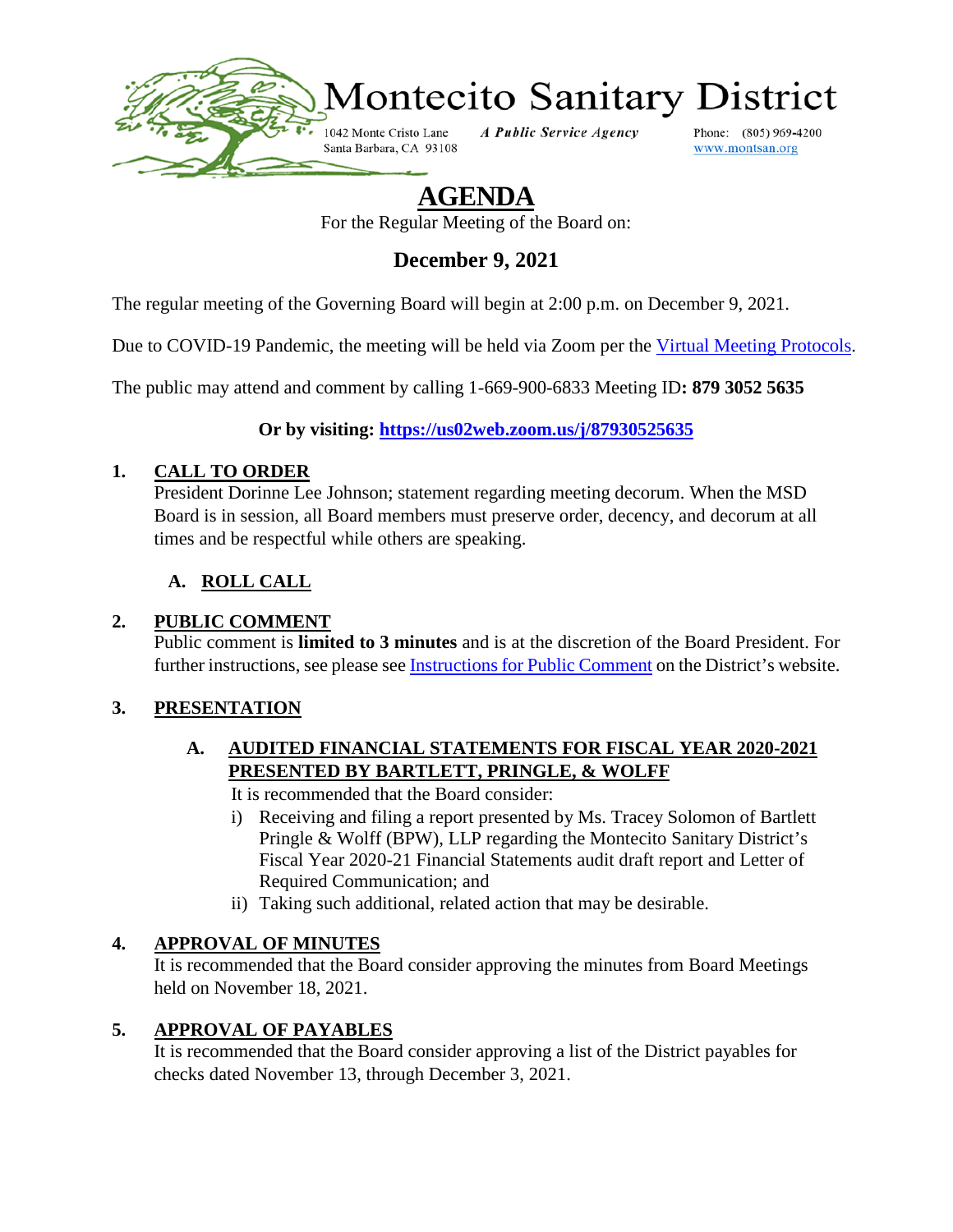

# **AGENDA**

For the Regular Meeting of the Board on:

**December 9, 2021**

The regular meeting of the Governing Board will begin at 2:00 p.m. on December 9, 2021.

Due to COVID-19 Pandemic, the meeting will be held via Zoom per the [Virtual Meeting Protocols.](http://www.montsan.org/virtual-public-meetings)

The public may attend and comment by calling 1-669-900-6833 Meeting ID**: 879 3052 5635**

# **Or by visiting:<https://us02web.zoom.us/j/87930525635>**

# **1. CALL TO ORDER**

President Dorinne Lee Johnson; statement regarding meeting decorum. When the MSD Board is in session, all Board members must preserve order, decency, and decorum at all times and be respectful while others are speaking.

# **A. ROLL CALL**

# **2. PUBLIC COMMENT**

Public comment is **limited to 3 minutes** and is at the discretion of the Board President. For further instructions, see please see [Instructions for Public Comment](https://www.montsan.org/virtual-meeting-protocols-and-instructions-for-public-comment) on the District's website.

# **3. PRESENTATION**

# **A. AUDITED FINANCIAL STATEMENTS FOR FISCAL YEAR 2020-2021 PRESENTED BY BARTLETT, PRINGLE, & WOLFF**

It is recommended that the Board consider:

- i) Receiving and filing a report presented by Ms. Tracey Solomon of Bartlett Pringle & Wolff (BPW), LLP regarding the Montecito Sanitary District's Fiscal Year 2020-21 Financial Statements audit draft report and Letter of Required Communication; and
- ii) Taking such additional, related action that may be desirable.

# **4. APPROVAL OF MINUTES**

It is recommended that the Board consider approving the minutes from Board Meetings held on November 18, 2021.

# **5. APPROVAL OF PAYABLES**

It is recommended that the Board consider approving a list of the District payables for checks dated November 13, through December 3, 2021.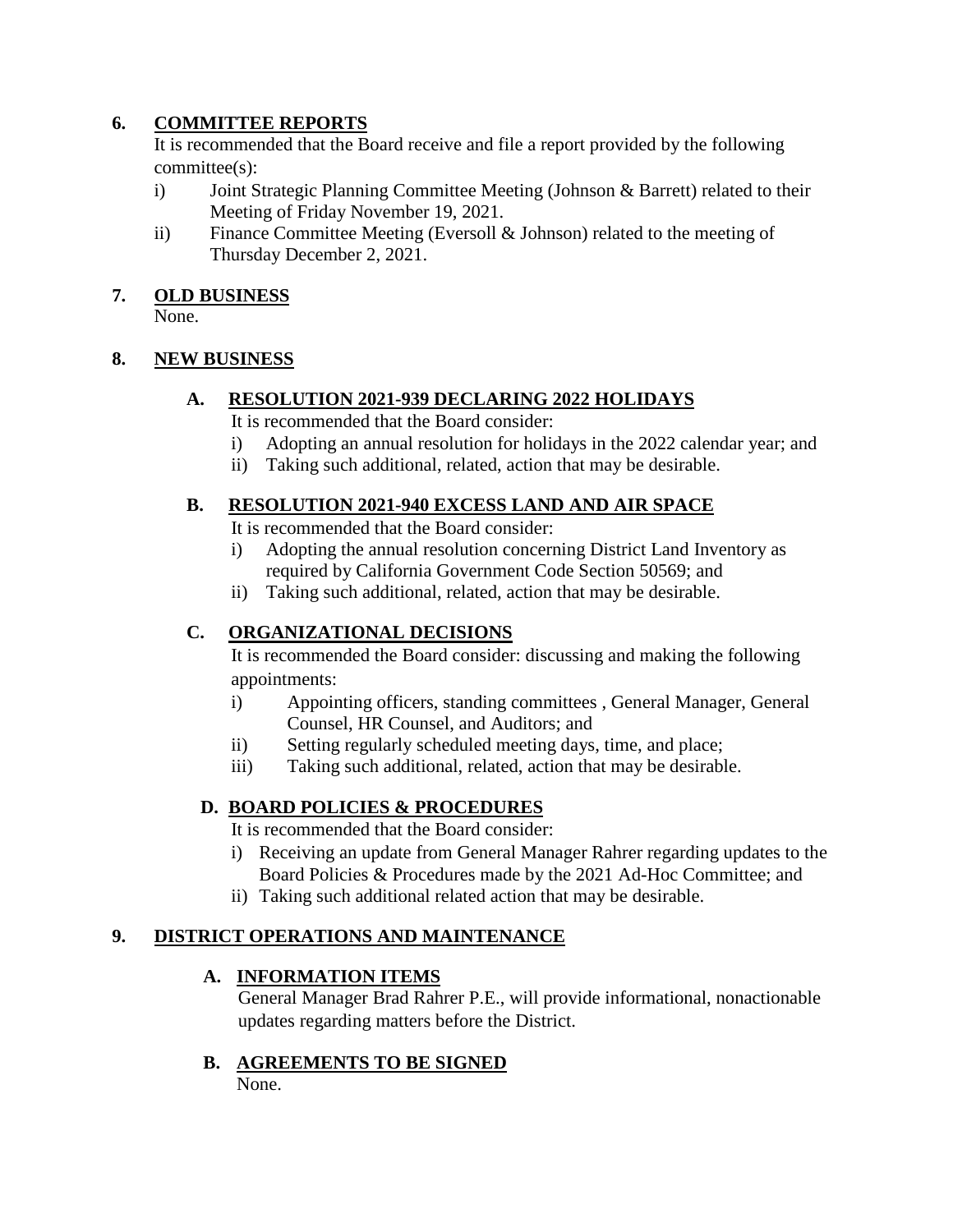## **6. COMMITTEE REPORTS**

It is recommended that the Board receive and file a report provided by the following committee(s):

- i) Joint Strategic Planning Committee Meeting (Johnson & Barrett) related to their Meeting of Friday November 19, 2021.
- ii) Finance Committee Meeting (Eversoll & Johnson) related to the meeting of Thursday December 2, 2021.

#### **7. OLD BUSINESS**

None.

#### **8. NEW BUSINESS**

## **A. RESOLUTION 2021-939 DECLARING 2022 HOLIDAYS**

It is recommended that the Board consider:

- i) Adopting an annual resolution for holidays in the 2022 calendar year; and
- ii) Taking such additional, related, action that may be desirable.

## **B. RESOLUTION 2021-940 EXCESS LAND AND AIR SPACE**

It is recommended that the Board consider:

- i) Adopting the annual resolution concerning District Land Inventory as required by California Government Code Section 50569; and
- ii) Taking such additional, related, action that may be desirable.

# **C. ORGANIZATIONAL DECISIONS**

It is recommended the Board consider: discussing and making the following appointments:

- i) Appointing officers, standing committees , General Manager, General Counsel, HR Counsel, and Auditors; and
- ii) Setting regularly scheduled meeting days, time, and place;
- iii) Taking such additional, related, action that may be desirable.

# **D. BOARD POLICIES & PROCEDURES**

It is recommended that the Board consider:

- i) Receiving an update from General Manager Rahrer regarding updates to the Board Policies & Procedures made by the 2021 Ad-Hoc Committee; and
- ii) Taking such additional related action that may be desirable.

# **9. DISTRICT OPERATIONS AND MAINTENANCE**

# **A. INFORMATION ITEMS**

General Manager Brad Rahrer P.E., will provide informational, nonactionable updates regarding matters before the District.

**B. AGREEMENTS TO BE SIGNED** None.